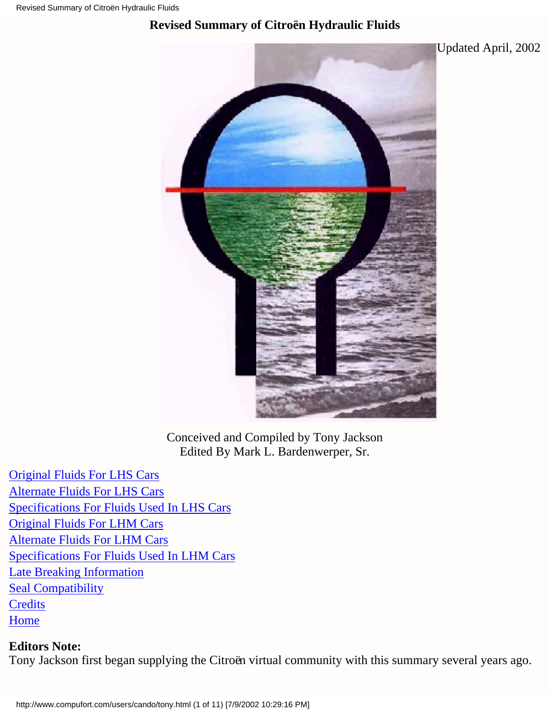### <span id="page-0-0"></span>**Revised Summary of Citroën Hydraulic Fluids**



Conceived and Compiled by Tony Jackson Edited By Mark L. Bardenwerper, Sr.

[Original Fluids For LHS Cars](#page-1-0) [Alternate Fluids For LHS Cars](#page-3-0) [Specifications For Fluids Used In LHS Cars](#page-5-0) [Original Fluids For LHM Cars](#page-6-0) [Alternate Fluids For LHM Cars](#page-6-1) [Specifications For Fluids Used In LHM Cars](#page-8-0) [Late Breaking Information](#page-7-0) **[Seal Compatibility](#page-9-0) [Credits](#page-10-0) [Home](http://www.compufort.com/users/cando/index.html)** 

**Editors Note:** Tony Jackson first began supplying the Citroën virtual community with this summary several years ago.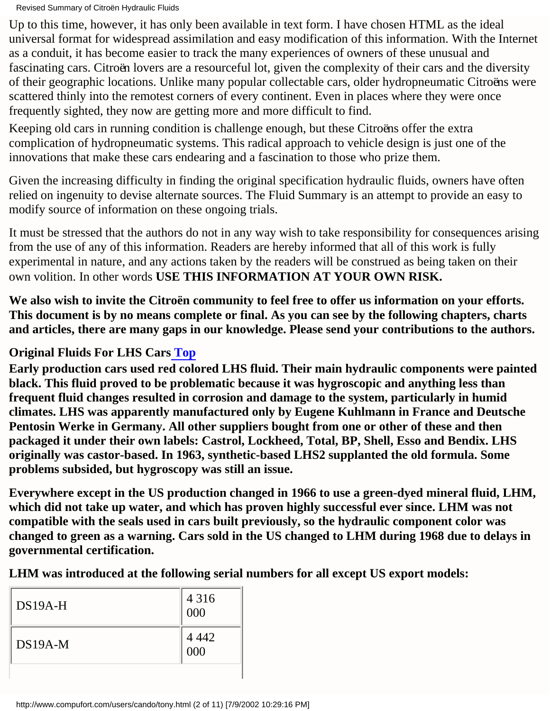Up to this time, however, it has only been available in text form. I have chosen HTML as the ideal universal format for widespread assimilation and easy modification of this information. With the Internet as a conduit, it has become easier to track the many experiences of owners of these unusual and fascinating cars. Citroën lovers are a resourceful lot, given the complexity of their cars and the diversity of their geographic locations. Unlike many popular collectable cars, older hydropneumatic Citroëns were scattered thinly into the remotest corners of every continent. Even in places where they were once frequently sighted, they now are getting more and more difficult to find.

Keeping old cars in running condition is challenge enough, but these Citroëns offer the extra complication of hydropneumatic systems. This radical approach to vehicle design is just one of the innovations that make these cars endearing and a fascination to those who prize them.

Given the increasing difficulty in finding the original specification hydraulic fluids, owners have often relied on ingenuity to devise alternate sources. The Fluid Summary is an attempt to provide an easy to modify source of information on these ongoing trials.

It must be stressed that the authors do not in any way wish to take responsibility for consequences arising from the use of any of this information. Readers are hereby informed that all of this work is fully experimental in nature, and any actions taken by the readers will be construed as being taken on their own volition. In other words **USE THIS INFORMATION AT YOUR OWN RISK.**

**We also wish to invite the Citroën community to feel free to offer us information on your efforts. This document is by no means complete or final. As you can see by the following chapters, charts and articles, there are many gaps in our knowledge. Please send your contributions to the authors.**

<span id="page-1-0"></span>**Original Fluids For LHS Car[s Top](#page-0-0)**

**Early production cars used red colored LHS fluid. Their main hydraulic components were painted black. This fluid proved to be problematic because it was hygroscopic and anything less than frequent fluid changes resulted in corrosion and damage to the system, particularly in humid climates. LHS was apparently manufactured only by Eugene Kuhlmann in France and Deutsche Pentosin Werke in Germany. All other suppliers bought from one or other of these and then packaged it under their own labels: Castrol, Lockheed, Total, BP, Shell, Esso and Bendix. LHS originally was castor-based. In 1963, synthetic-based LHS2 supplanted the old formula. Some problems subsided, but hygroscopy was still an issue.**

**Everywhere except in the US production changed in 1966 to use a green-dyed mineral fluid, LHM, which did not take up water, and which has proven highly successful ever since. LHM was not compatible with the seals used in cars built previously, so the hydraulic component color was changed to green as a warning. Cars sold in the US changed to LHM during 1968 due to delays in governmental certification.**

**LHM was introduced at the following serial numbers for all except US export models:**

| $DS19A-H$ | 4 3 1 6<br>000 |
|-----------|----------------|
| $DS19A-M$ | 4 4 4 2<br>000 |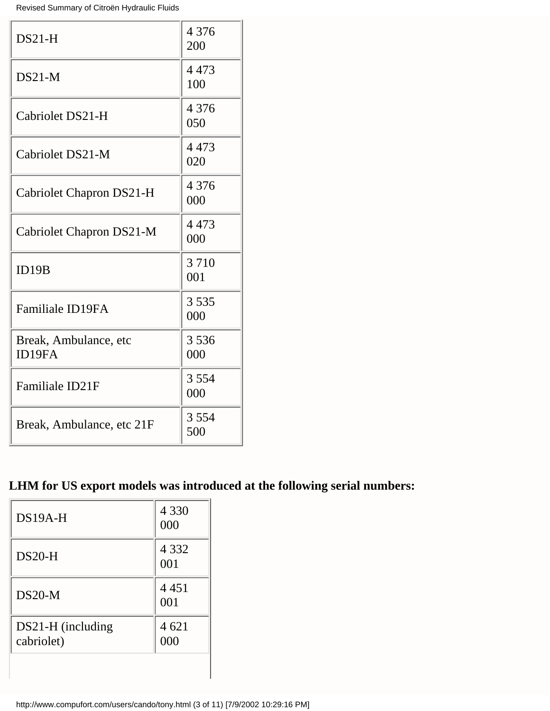| $DS21-H$                         | 4 3 7 6<br>200 |
|----------------------------------|----------------|
| $DS21-M$                         | 4 4 7 3<br>100 |
| Cabriolet DS21-H                 | 4 3 7 6<br>050 |
| Cabriolet DS21-M                 | 4473<br>020    |
| <b>Cabriolet Chapron DS21-H</b>  | 4 3 7 6<br>000 |
| Cabriolet Chapron DS21-M         | 4473<br>000    |
| ID19B                            | 3710<br>001    |
| <b>Familiale ID19FA</b>          | 3535<br>000    |
| Break, Ambulance, etc.<br>ID19FA | 3536<br>000    |
| Familiale ID21F                  | 3 5 5 4<br>000 |
| Break, Ambulance, etc 21F        | 3 5 5 4<br>500 |

# **LHM for US export models was introduced at the following serial numbers:**

| $DS19A-H$                       | 4 3 3 0<br>000 |
|---------------------------------|----------------|
| $DS20-H$                        | 4 3 3 2<br>001 |
| $DS20-M$                        | 4 4 5 1<br>001 |
| DS21-H (including<br>cabriolet) | 4 621<br>000   |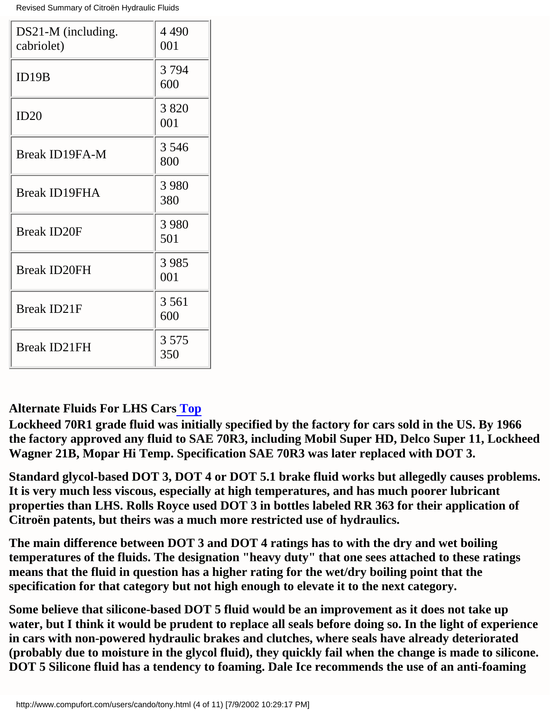| DS21-M (including.<br>cabriolet) | 4 4 9 0<br>001 |
|----------------------------------|----------------|
| ID19B                            | 3794<br>600    |
| ID20                             | 3820<br>001    |
| <b>Break ID19FA-M</b>            | 3 5 4 6<br>800 |
| <b>Break ID19FHA</b>             | 3 9 8 0<br>380 |
| <b>Break ID20F</b>               | 3 9 8 0<br>501 |
| <b>Break ID20FH</b>              | 3985<br>001    |
| <b>Break ID21F</b>               | 3 5 6 1<br>600 |
| <b>Break ID21FH</b>              | 3 5 7 5<br>350 |

#### <span id="page-3-0"></span>**Alternate Fluids For LHS Cars [Top](#page-0-0)**

**Lockheed 70R1 grade fluid was initially specified by the factory for cars sold in the US. By 1966 the factory approved any fluid to SAE 70R3, including Mobil Super HD, Delco Super 11, Lockheed Wagner 21B, Mopar Hi Temp. Specification SAE 70R3 was later replaced with DOT 3.**

**Standard glycol-based DOT 3, DOT 4 or DOT 5.1 brake fluid works but allegedly causes problems. It is very much less viscous, especially at high temperatures, and has much poorer lubricant properties than LHS. Rolls Royce used DOT 3 in bottles labeled RR 363 for their application of Citroën patents, but theirs was a much more restricted use of hydraulics.**

**The main difference between DOT 3 and DOT 4 ratings has to with the dry and wet boiling temperatures of the fluids. The designation "heavy duty" that one sees attached to these ratings means that the fluid in question has a higher rating for the wet/dry boiling point that the specification for that category but not high enough to elevate it to the next category.**

**Some believe that silicone-based DOT 5 fluid would be an improvement as it does not take up water, but I think it would be prudent to replace all seals before doing so. In the light of experience in cars with non-powered hydraulic brakes and clutches, where seals have already deteriorated (probably due to moisture in the glycol fluid), they quickly fail when the change is made to silicone. DOT 5 Silicone fluid has a tendency to foaming. Dale Ice recommends the use of an anti-foaming**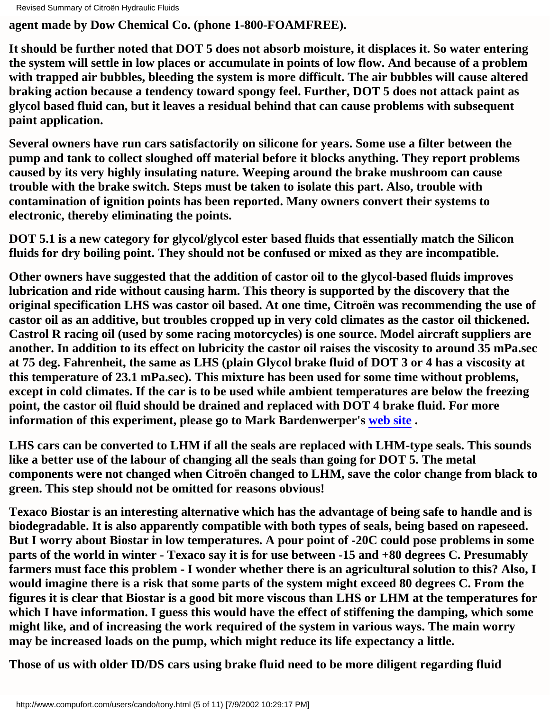**agent made by Dow Chemical Co. (phone 1-800-FOAMFREE).**

**It should be further noted that DOT 5 does not absorb moisture, it displaces it. So water entering the system will settle in low places or accumulate in points of low flow. And because of a problem with trapped air bubbles, bleeding the system is more difficult. The air bubbles will cause altered braking action because a tendency toward spongy feel. Further, DOT 5 does not attack paint as glycol based fluid can, but it leaves a residual behind that can cause problems with subsequent paint application.**

**Several owners have run cars satisfactorily on silicone for years. Some use a filter between the pump and tank to collect sloughed off material before it blocks anything. They report problems caused by its very highly insulating nature. Weeping around the brake mushroom can cause trouble with the brake switch. Steps must be taken to isolate this part. Also, trouble with contamination of ignition points has been reported. Many owners convert their systems to electronic, thereby eliminating the points.**

**DOT 5.1 is a new category for glycol/glycol ester based fluids that essentially match the Silicon fluids for dry boiling point. They should not be confused or mixed as they are incompatible.**

**Other owners have suggested that the addition of castor oil to the glycol-based fluids improves lubrication and ride without causing harm. This theory is supported by the discovery that the original specification LHS was castor oil based. At one time, Citroën was recommending the use of castor oil as an additive, but troubles cropped up in very cold climates as the castor oil thickened. Castrol R racing oil (used by some racing motorcycles) is one source. Model aircraft suppliers are another. In addition to its effect on lubricity the castor oil raises the viscosity to around 35 mPa.sec at 75 deg. Fahrenheit, the same as LHS (plain Glycol brake fluid of DOT 3 or 4 has a viscosity at this temperature of 23.1 mPa.sec). This mixture has been used for some time without problems, except in cold climates. If the car is to be used while ambient temperatures are below the freezing point, the castor oil fluid should be drained and replaced with DOT 4 brake fluid. For more information of this experiment, please go to Mark Bardenwerper's [web site](http://www.compufort.com/users/cando/fluid.html) .**

**LHS cars can be converted to LHM if all the seals are replaced with LHM-type seals. This sounds like a better use of the labour of changing all the seals than going for DOT 5. The metal components were not changed when Citroën changed to LHM, save the color change from black to green. This step should not be omitted for reasons obvious!**

**Texaco Biostar is an interesting alternative which has the advantage of being safe to handle and is biodegradable. It is also apparently compatible with both types of seals, being based on rapeseed. But I worry about Biostar in low temperatures. A pour point of -20C could pose problems in some parts of the world in winter - Texaco say it is for use between -15 and +80 degrees C. Presumably farmers must face this problem - I wonder whether there is an agricultural solution to this? Also, I would imagine there is a risk that some parts of the system might exceed 80 degrees C. From the figures it is clear that Biostar is a good bit more viscous than LHS or LHM at the temperatures for which I have information. I guess this would have the effect of stiffening the damping, which some might like, and of increasing the work required of the system in various ways. The main worry may be increased loads on the pump, which might reduce its life expectancy a little.**

**Those of us with older ID/DS cars using brake fluid need to be more diligent regarding fluid**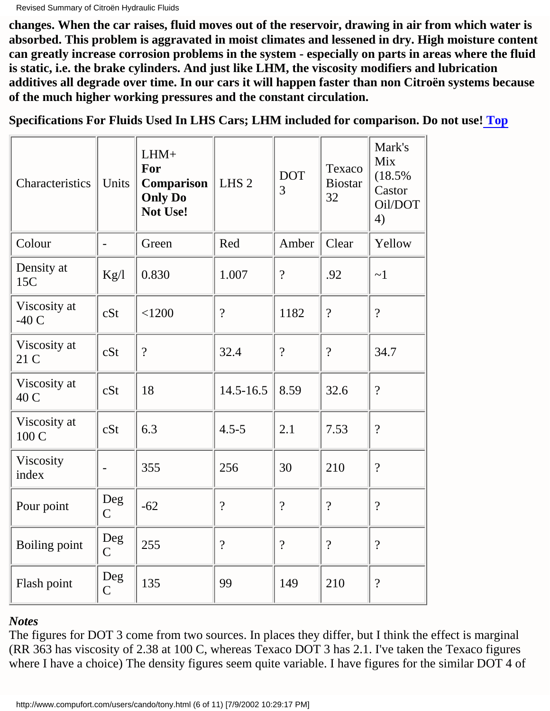**changes. When the car raises, fluid moves out of the reservoir, drawing in air from which water is absorbed. This problem is aggravated in moist climates and lessened in dry. High moisture content can greatly increase corrosion problems in the system - especially on parts in areas where the fluid is static, i.e. the brake cylinders. And just like LHM, the viscosity modifiers and lubrication additives all degrade over time. In our cars it will happen faster than non Citroën systems because of the much higher working pressures and the constant circulation.**

<span id="page-5-0"></span>**Specifications For Fluids Used In LHS Cars; LHM included for comparison. Do not use[! Top](#page-0-0)**

| Characteristics        | Units                    | $LHM+$<br>For<br>Comparison<br><b>Only Do</b><br>Not Use! | LHS <sub>2</sub> | <b>DOT</b><br>3 | Texaco<br><b>Biostar</b><br>32 | Mark's<br>Mix<br>(18.5%<br>Castor<br>Oil/DOT<br>4) |
|------------------------|--------------------------|-----------------------------------------------------------|------------------|-----------------|--------------------------------|----------------------------------------------------|
| Colour                 | $\overline{\phantom{0}}$ | Green                                                     | Red              | Amber           | Clear                          | Yellow                                             |
| Density at<br>15C      | Kg/l                     | 0.830                                                     | 1.007            | $\overline{?}$  | .92                            | ~1                                                 |
| Viscosity at<br>$-40C$ | cSt                      | < 1200                                                    | $\overline{?}$   | 1182            | $\overline{?}$                 | $\overline{?}$                                     |
| Viscosity at<br>21 C   | cSt                      | $\overline{?}$                                            | 32.4             | $\gamma$        | $\overline{?}$                 | 34.7                                               |
| Viscosity at<br>40 C   | cSt                      | 18                                                        | $14.5 - 16.5$    | 8.59            | 32.6                           | $\overline{?}$                                     |
| Viscosity at<br>100 C  | cSt                      | 6.3                                                       | $4.5 - 5$        | 2.1             | 7.53                           | $\overline{?}$                                     |
| Viscosity<br>index     |                          | 355                                                       | 256              | 30              | 210                            | $\overline{?}$                                     |
| Pour point             | Deg<br>$\mathsf{C}$      | $-62$                                                     | $\overline{?}$   | $\gamma$        | $\overline{?}$                 | $\gamma$                                           |
| Boiling point          | Deg<br>$\overline{C}$    | 255                                                       | $\overline{?}$   | $\overline{?}$  | $\overline{?}$                 | $\gamma$                                           |
| Flash point            | Deg<br>$\overline{C}$    | 135                                                       | 99               | 149             | 210                            | $\overline{\mathcal{L}}$                           |

*Notes*

The figures for DOT 3 come from two sources. In places they differ, but I think the effect is marginal (RR 363 has viscosity of 2.38 at 100 C, whereas Texaco DOT 3 has 2.1. I've taken the Texaco figures where I have a choice) The density figures seem quite variable. I have figures for the similar DOT 4 of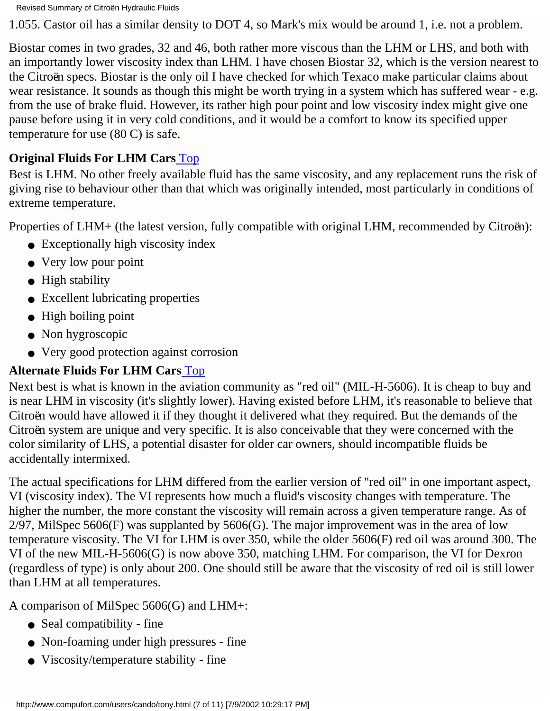1.055. Castor oil has a similar density to DOT 4, so Mark's mix would be around 1, i.e. not a problem.

Biostar comes in two grades, 32 and 46, both rather more viscous than the LHM or LHS, and both with an importantly lower viscosity index than LHM. I have chosen Biostar 32, which is the version nearest to the Citroën specs. Biostar is the only oil I have checked for which Texaco make particular claims about wear resistance. It sounds as though this might be worth trying in a system which has suffered wear - e.g. from the use of brake fluid. However, its rather high pour point and low viscosity index might give one pause before using it in very cold conditions, and it would be a comfort to know its specified upper temperature for use (80 C) is safe.

### <span id="page-6-0"></span>**Original Fluids For LHM Cars** [Top](#page-0-0)

Best is LHM. No other freely available fluid has the same viscosity, and any replacement runs the risk of giving rise to behaviour other than that which was originally intended, most particularly in conditions of extreme temperature.

Properties of LHM+ (the latest version, fully compatible with original LHM, recommended by Citroën):

- Exceptionally high viscosity index
- Very low pour point
- High stability
- Excellent lubricating properties
- High boiling point
- Non hygroscopic
- Very good protection against corrosion

# <span id="page-6-1"></span>**Alternate Fluids For LHM Cars** [Top](#page-0-0)

Next best is what is known in the aviation community as "red oil" (MIL-H-5606). It is cheap to buy and is near LHM in viscosity (it's slightly lower). Having existed before LHM, it's reasonable to believe that Citroën would have allowed it if they thought it delivered what they required. But the demands of the Citroën system are unique and very specific. It is also conceivable that they were concerned with the color similarity of LHS, a potential disaster for older car owners, should incompatible fluids be accidentally intermixed.

The actual specifications for LHM differed from the earlier version of "red oil" in one important aspect, VI (viscosity index). The VI represents how much a fluid's viscosity changes with temperature. The higher the number, the more constant the viscosity will remain across a given temperature range. As of  $2/97$ , MilSpec 5606(F) was supplanted by 5606(G). The major improvement was in the area of low temperature viscosity. The VI for LHM is over 350, while the older 5606(F) red oil was around 300. The VI of the new MIL-H-5606(G) is now above 350, matching LHM. For comparison, the VI for Dexron (regardless of type) is only about 200. One should still be aware that the viscosity of red oil is still lower than LHM at all temperatures.

A comparison of MilSpec 5606(G) and LHM+:

- Seal compatibility fine
- Non-foaming under high pressures fine
- Viscosity/temperature stability fine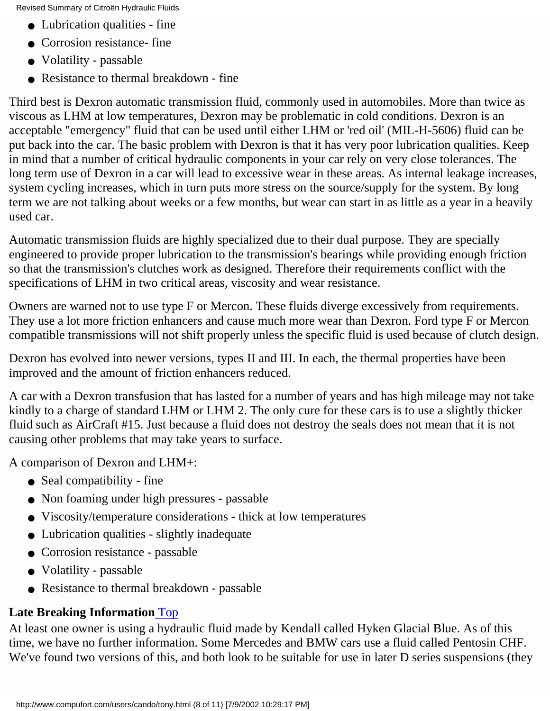- Lubrication qualities fine
- Corrosion resistance- fine
- Volatility passable
- Resistance to thermal breakdown fine

Third best is Dexron automatic transmission fluid, commonly used in automobiles. More than twice as viscous as LHM at low temperatures, Dexron may be problematic in cold conditions. Dexron is an acceptable "emergency" fluid that can be used until either LHM or 'red oil' (MIL-H-5606) fluid can be put back into the car. The basic problem with Dexron is that it has very poor lubrication qualities. Keep in mind that a number of critical hydraulic components in your car rely on very close tolerances. The long term use of Dexron in a car will lead to excessive wear in these areas. As internal leakage increases, system cycling increases, which in turn puts more stress on the source/supply for the system. By long term we are not talking about weeks or a few months, but wear can start in as little as a year in a heavily used car.

Automatic transmission fluids are highly specialized due to their dual purpose. They are specially engineered to provide proper lubrication to the transmission's bearings while providing enough friction so that the transmission's clutches work as designed. Therefore their requirements conflict with the specifications of LHM in two critical areas, viscosity and wear resistance.

Owners are warned not to use type F or Mercon. These fluids diverge excessively from requirements. They use a lot more friction enhancers and cause much more wear than Dexron. Ford type F or Mercon compatible transmissions will not shift properly unless the specific fluid is used because of clutch design.

Dexron has evolved into newer versions, types II and III. In each, the thermal properties have been improved and the amount of friction enhancers reduced.

A car with a Dexron transfusion that has lasted for a number of years and has high mileage may not take kindly to a charge of standard LHM or LHM 2. The only cure for these cars is to use a slightly thicker fluid such as AirCraft #15. Just because a fluid does not destroy the seals does not mean that it is not causing other problems that may take years to surface.

A comparison of Dexron and LHM+:

- Seal compatibility fine
- Non foaming under high pressures passable
- Viscosity/temperature considerations thick at low temperatures
- Lubrication qualities slightly inadequate
- Corrosion resistance passable
- Volatility passable
- Resistance to thermal breakdown passable

# <span id="page-7-0"></span>**Late Breaking Information** [Top](#page-0-0)

At least one owner is using a hydraulic fluid made by Kendall called Hyken Glacial Blue. As of this time, we have no further information. Some Mercedes and BMW cars use a fluid called Pentosin CHF. We've found two versions of this, and both look to be suitable for use in later D series suspensions (they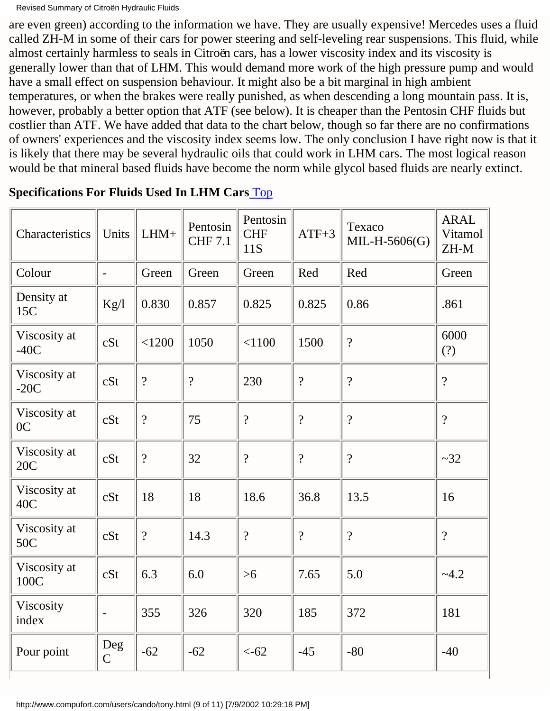are even green) according to the information we have. They are usually expensive! Mercedes uses a fluid called ZH-M in some of their cars for power steering and self-leveling rear suspensions. This fluid, while almost certainly harmless to seals in Citroën cars, has a lower viscosity index and its viscosity is generally lower than that of LHM. This would demand more work of the high pressure pump and would have a small effect on suspension behaviour. It might also be a bit marginal in high ambient temperatures, or when the brakes were really punished, as when descending a long mountain pass. It is, however, probably a better option that ATF (see below). It is cheaper than the Pentosin CHF fluids but costlier than ATF. We have added that data to the chart below, though so far there are no confirmations of owners' experiences and the viscosity index seems low. The only conclusion I have right now is that it is likely that there may be several hydraulic oils that could work in LHM cars. The most logical reason would be that mineral based fluids have become the norm while glycol based fluids are nearly extinct.

| Characteristics                | Units                    | $LHM+$         | Pentosin<br><b>CHF 7.1</b> | Pentosin<br><b>CHF</b><br>11S | $ATF+3$                  | Texaco<br>$MIL-H-5606(G)$ | <b>ARAL</b><br>Vitamol<br>ZH-M |
|--------------------------------|--------------------------|----------------|----------------------------|-------------------------------|--------------------------|---------------------------|--------------------------------|
| Colour                         | $\overline{\phantom{a}}$ | Green          | Green                      | Green                         | Red                      | Red                       | Green                          |
| Density at<br>15C              | Kg/l                     | 0.830          | 0.857                      | 0.825                         | 0.825                    | 0.86                      | .861                           |
| Viscosity at<br>$-40C$         | cSt                      | < 1200         | 1050                       | < 1100                        | 1500                     | $\gamma$                  | 6000<br>(?)                    |
| Viscosity at<br>$-20C$         | cSt                      | $\overline{?}$ | $\gamma$                   | 230                           | $\overline{\mathcal{L}}$ | $\overline{?}$            | $\gamma$                       |
| Viscosity at<br>0 <sup>C</sup> | cSt                      | $\overline{?}$ | 75                         | $\overline{\mathcal{L}}$      | $\overline{?}$           | $\overline{?}$            | $\gamma$                       |
| Viscosity at<br>20C            | cSt                      | $\overline{?}$ | 32                         | $\overline{?}$                | $\overline{?}$           | $\gamma$                  | ~2                             |
| Viscosity at<br>40C            | cSt                      | 18             | 18                         | 18.6                          | 36.8                     | 13.5                      | 16                             |
| Viscosity at<br>50C            | cSt                      | $\overline{?}$ | 14.3                       | $\overline{\mathcal{L}}$      | $\overline{?}$           | $\overline{?}$            | $\gamma$                       |
| Viscosity at<br>100C           | cSt                      | 6.3            | 6.0                        | $>6$                          | 7.65                     | 5.0                       | $-4.2$                         |
| Viscosity<br>index             | $\overline{\phantom{0}}$ | 355            | 326                        | 320                           | 185                      | 372                       | 181                            |
| Pour point                     | Deg<br>$\overline{C}$    | $-62$          | $-62$                      | $< -62$                       | $-45$                    | $-80$                     | $-40$                          |

<span id="page-8-0"></span>**Specifications For Fluids Used In LHM Cars** [Top](#page-0-0)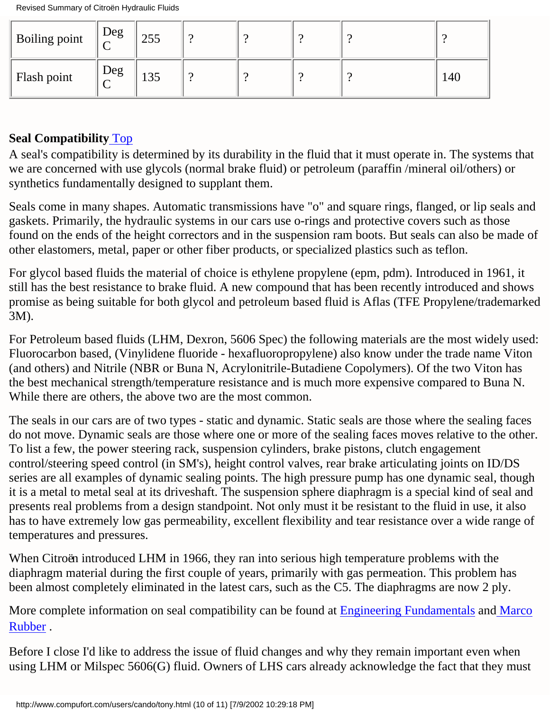| Boiling point | Deg<br>$\sqrt{ }$ | 255 |  |  |     |
|---------------|-------------------|-----|--|--|-----|
| Flash point   | Deg               | 135 |  |  | 140 |

### <span id="page-9-0"></span>**Seal Compatibility** [Top](#page-0-0)

A seal's compatibility is determined by its durability in the fluid that it must operate in. The systems that we are concerned with use glycols (normal brake fluid) or petroleum (paraffin /mineral oil/others) or synthetics fundamentally designed to supplant them.

Seals come in many shapes. Automatic transmissions have "o" and square rings, flanged, or lip seals and gaskets. Primarily, the hydraulic systems in our cars use o-rings and protective covers such as those found on the ends of the height correctors and in the suspension ram boots. But seals can also be made of other elastomers, metal, paper or other fiber products, or specialized plastics such as teflon.

For glycol based fluids the material of choice is ethylene propylene (epm, pdm). Introduced in 1961, it still has the best resistance to brake fluid. A new compound that has been recently introduced and shows promise as being suitable for both glycol and petroleum based fluid is Aflas (TFE Propylene/trademarked 3M).

For Petroleum based fluids (LHM, Dexron, 5606 Spec) the following materials are the most widely used: Fluorocarbon based, (Vinylidene fluoride - hexafluoropropylene) also know under the trade name Viton (and others) and Nitrile (NBR or Buna N, Acrylonitrile-Butadiene Copolymers). Of the two Viton has the best mechanical strength/temperature resistance and is much more expensive compared to Buna N. While there are others, the above two are the most common.

The seals in our cars are of two types - static and dynamic. Static seals are those where the sealing faces do not move. Dynamic seals are those where one or more of the sealing faces moves relative to the other. To list a few, the power steering rack, suspension cylinders, brake pistons, clutch engagement control/steering speed control (in SM's), height control valves, rear brake articulating joints on ID/DS series are all examples of dynamic sealing points. The high pressure pump has one dynamic seal, though it is a metal to metal seal at its driveshaft. The suspension sphere diaphragm is a special kind of seal and presents real problems from a design standpoint. Not only must it be resistant to the fluid in use, it also has to have extremely low gas permeability, excellent flexibility and tear resistance over a wide range of temperatures and pressures.

When Citroën introduced LHM in 1966, they ran into serious high temperature problems with the diaphragm material during the first couple of years, primarily with gas permeation. This problem has been almost completely eliminated in the latest cars, such as the C5. The diaphragms are now 2 ply.

More complete information on seal compatibility can be found at **[Engineering Fundamentals](http://www.efunda.com/DesignStandards/)** and [Marco](http://www.marcorubber.com/orings.htm) [Rubber](http://www.marcorubber.com/orings.htm) .

Before I close I'd like to address the issue of fluid changes and why they remain important even when using LHM or Milspec 5606(G) fluid. Owners of LHS cars already acknowledge the fact that they must